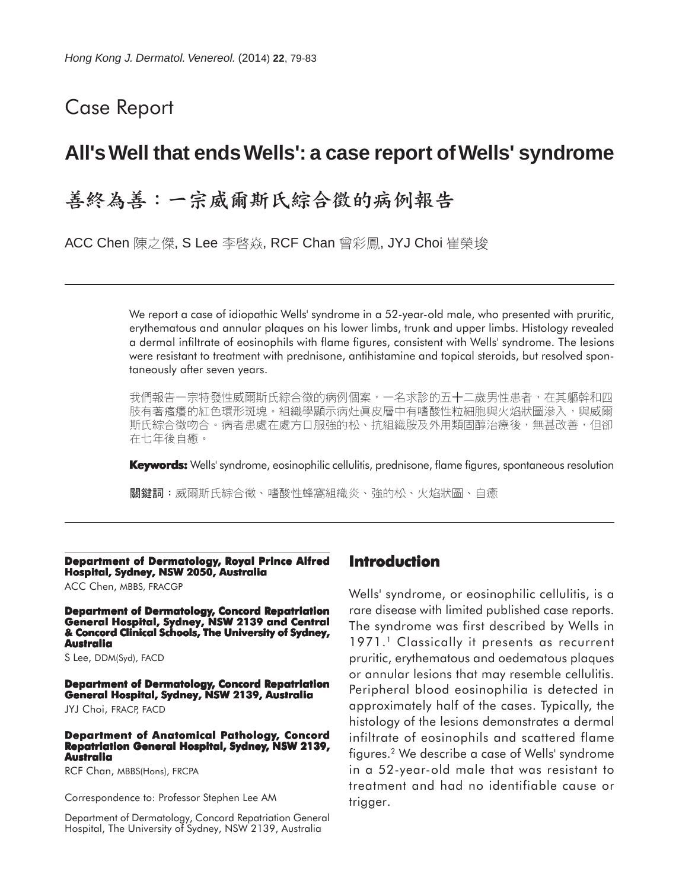# Case Report

# **All's Well that ends Wells': a case report of Wells' syndrome**

# 善終為善:一宗威爾斯氏綜合徵的病例報告

ACC Chen 陳之傑, S Lee 李啓焱, RCF Chan 曾彩鳳, JYJ Choi 崔榮埈

We report a case of idiopathic Wells' syndrome in a 52-year-old male, who presented with pruritic, erythematous and annular plaques on his lower limbs, trunk and upper limbs. Histology revealed a dermal infiltrate of eosinophils with flame figures, consistent with Wells' syndrome. The lesions were resistant to treatment with prednisone, antihistamine and topical steroids, but resolved spontaneously after seven years.

我們報告一宗特發性威爾斯氏綜合徵的病例個案,一名求診的五十二歲男性患者,在其軀幹和四 肢有著瘙癢的紅色環形斑塊。組織學顯示病灶真皮層中有嗜酸性粒細胞與火焰狀圖滲入,與威爾 斯氏綜合徵吻合。病者患處在處方口服強的松、抗組織胺及外用類固醇治療後,無甚改善,但卻 在七年後自癒。

**Keywords:** Wells' syndrome, eosinophilic cellulitis, prednisone, flame figures, spontaneous resolution

關鍵詞:威爾斯氏綜合徵、嗜酸性蜂窩組織炎、強的松、火焰狀圖、自癒

### **Department of Dermatology, Royal Prince Alfred Hospital, Sydney, NSW 2050, Australia**

ACC Chen, MBBS, FRACGP

**Department of Dermatology, Concord Repatriation General Hospital, Sydney, NSW 2139 and Central & Concord Clinical Schools, The University of Sydney, Australia**

S Lee, DDM(Syd), FACD

**Department of Dermatology, Concord Repatriation General Hospital, Sydney, NSW 2139, Australia**

JYJ Choi, FRACP, FACD

#### **Department of Anatomical Pathology, Concord Repatriation General Hospital, Sydney, NSW 2139, Australia**

RCF Chan, MBBS(Hons), FRCPA

Correspondence to: Professor Stephen Lee AM

Department of Dermatology, Concord Repatriation General Hospital, The University of Sydney, NSW 2139, Australia

# **Introduction**

Wells' syndrome, or eosinophilic cellulitis, is a rare disease with limited published case reports. The syndrome was first described by Wells in 1971.<sup>1</sup> Classically it presents as recurrent pruritic, erythematous and oedematous plaques or annular lesions that may resemble cellulitis. Peripheral blood eosinophilia is detected in approximately half of the cases. Typically, the histology of the lesions demonstrates a dermal infiltrate of eosinophils and scattered flame figures.2 We describe a case of Wells' syndrome in a 52-year-old male that was resistant to treatment and had no identifiable cause or trigger.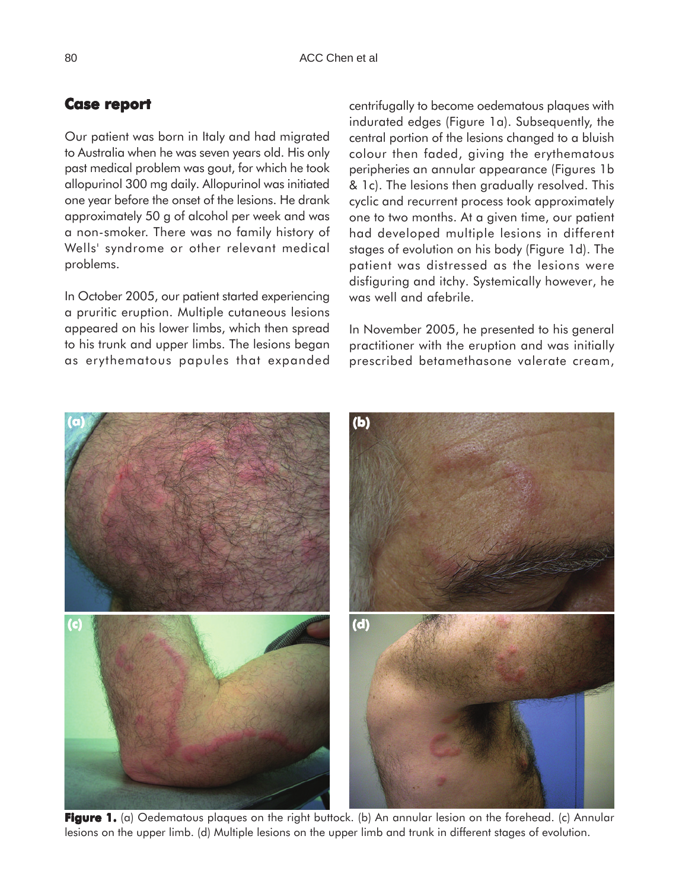# **Case report report**

Our patient was born in Italy and had migrated to Australia when he was seven years old. His only past medical problem was gout, for which he took allopurinol 300 mg daily. Allopurinol was initiated one year before the onset of the lesions. He drank approximately 50 g of alcohol per week and was a non-smoker. There was no family history of Wells' syndrome or other relevant medical problems.

In October 2005, our patient started experiencing a pruritic eruption. Multiple cutaneous lesions appeared on his lower limbs, which then spread to his trunk and upper limbs. The lesions began as erythematous papules that expanded centrifugally to become oedematous plaques with indurated edges (Figure 1a). Subsequently, the central portion of the lesions changed to a bluish colour then faded, giving the erythematous peripheries an annular appearance (Figures 1b & 1c). The lesions then gradually resolved. This cyclic and recurrent process took approximately one to two months. At a given time, our patient had developed multiple lesions in different stages of evolution on his body (Figure 1d). The patient was distressed as the lesions were disfiguring and itchy. Systemically however, he was well and afebrile.

In November 2005, he presented to his general practitioner with the eruption and was initially prescribed betamethasone valerate cream,



**Figure 1. Figure 1.** (a) Oedematous plaques on the right buttock. (b) An annular lesion on the forehead. (c) Annular lesions on the upper limb. (d) Multiple lesions on the upper limb and trunk in different stages of evolution.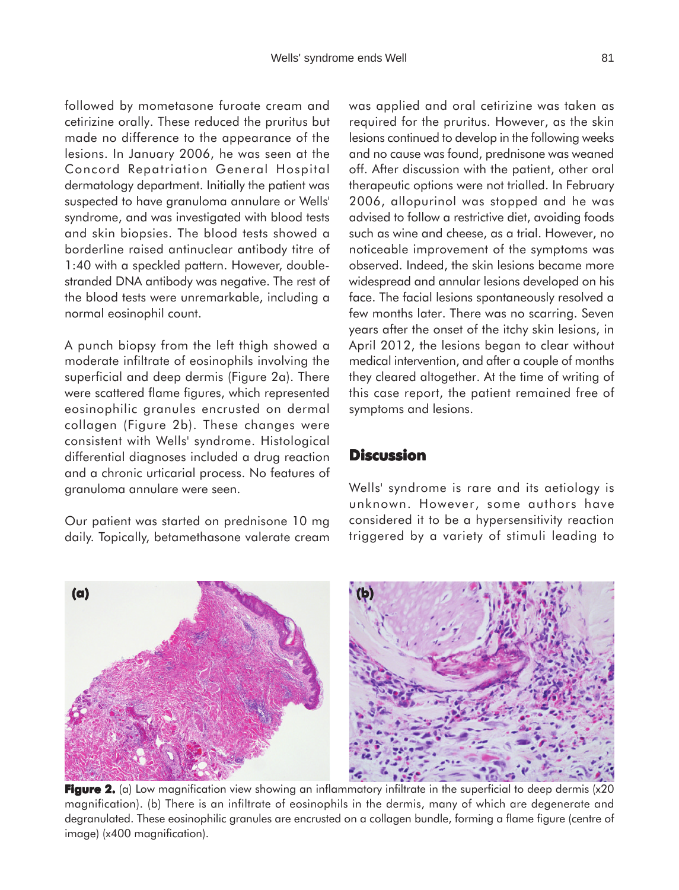followed by mometasone furoate cream and cetirizine orally. These reduced the pruritus but made no difference to the appearance of the lesions. In January 2006, he was seen at the Concord Repatriation General Hospital dermatology department. Initially the patient was suspected to have granuloma annulare or Wells' syndrome, and was investigated with blood tests and skin biopsies. The blood tests showed a borderline raised antinuclear antibody titre of 1:40 with a speckled pattern. However, doublestranded DNA antibody was negative. The rest of the blood tests were unremarkable, including a normal eosinophil count.

A punch biopsy from the left thigh showed a moderate infiltrate of eosinophils involving the superficial and deep dermis (Figure 2a). There were scattered flame figures, which represented eosinophilic granules encrusted on dermal collagen (Figure 2b). These changes were consistent with Wells' syndrome. Histological differential diagnoses included a drug reaction and a chronic urticarial process. No features of granuloma annulare were seen.

Our patient was started on prednisone 10 mg daily. Topically, betamethasone valerate cream

**(a)**

was applied and oral cetirizine was taken as required for the pruritus. However, as the skin lesions continued to develop in the following weeks and no cause was found, prednisone was weaned off. After discussion with the patient, other oral therapeutic options were not trialled. In February 2006, allopurinol was stopped and he was advised to follow a restrictive diet, avoiding foods such as wine and cheese, as a trial. However, no noticeable improvement of the symptoms was observed. Indeed, the skin lesions became more widespread and annular lesions developed on his face. The facial lesions spontaneously resolved a few months later. There was no scarring. Seven years after the onset of the itchy skin lesions, in April 2012, the lesions began to clear without medical intervention, and after a couple of months they cleared altogether. At the time of writing of this case report, the patient remained free of symptoms and lesions.

# **Discussion**

**(b)**

Wells' syndrome is rare and its aetiology is unknown. However, some authors have considered it to be a hypersensitivity reaction triggered by a variety of stimuli leading to

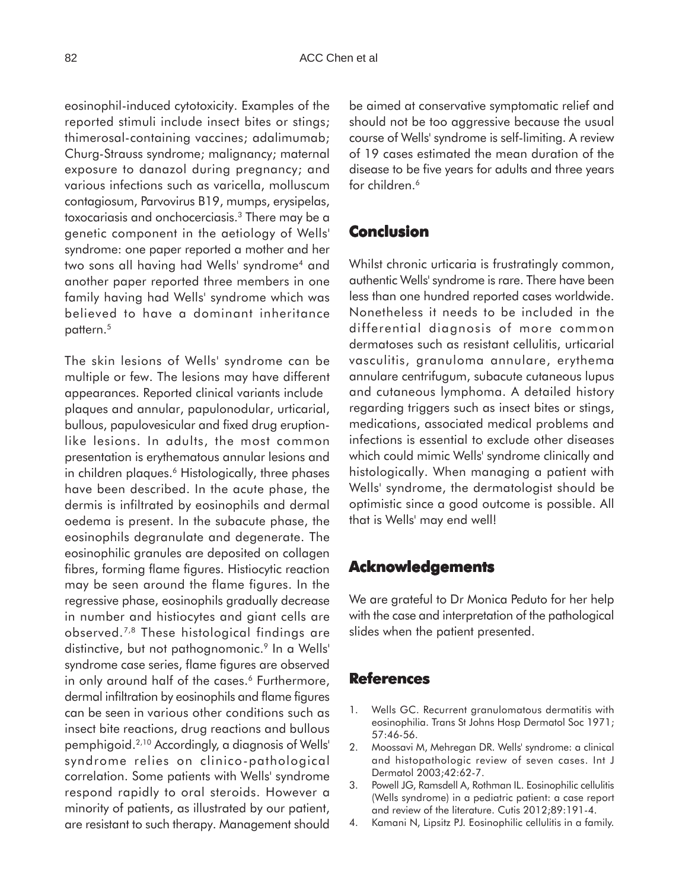eosinophil-induced cytotoxicity. Examples of the reported stimuli include insect bites or stings; thimerosal-containing vaccines; adalimumab; Churg-Strauss syndrome; malignancy; maternal exposure to danazol during pregnancy; and various infections such as varicella, molluscum contagiosum, Parvovirus B19, mumps, erysipelas, toxocariasis and onchocerciasis.3 There may be a genetic component in the aetiology of Wells' syndrome: one paper reported a mother and her two sons all having had Wells' syndrome<sup>4</sup> and another paper reported three members in one family having had Wells' syndrome which was believed to have a dominant inheritance pattern.<sup>5</sup>

The skin lesions of Wells' syndrome can be multiple or few. The lesions may have different appearances. Reported clinical variants include plaques and annular, papulonodular, urticarial, bullous, papulovesicular and fixed drug eruptionlike lesions. In adults, the most common presentation is erythematous annular lesions and in children plaques.<sup>6</sup> Histologically, three phases have been described. In the acute phase, the dermis is infiltrated by eosinophils and dermal oedema is present. In the subacute phase, the eosinophils degranulate and degenerate. The eosinophilic granules are deposited on collagen fibres, forming flame figures. Histiocytic reaction may be seen around the flame figures. In the regressive phase, eosinophils gradually decrease in number and histiocytes and giant cells are observed.7,8 These histological findings are distinctive, but not pathognomonic.<sup>9</sup> In a Wells' syndrome case series, flame figures are observed in only around half of the cases.<sup>6</sup> Furthermore, dermal infiltration by eosinophils and flame figures can be seen in various other conditions such as insect bite reactions, drug reactions and bullous pemphigoid.2,10 Accordingly, a diagnosis of Wells' syndrome relies on clinico-pathological correlation. Some patients with Wells' syndrome respond rapidly to oral steroids. However a minority of patients, as illustrated by our patient, are resistant to such therapy. Management should be aimed at conservative symptomatic relief and should not be too aggressive because the usual course of Wells' syndrome is self-limiting. A review of 19 cases estimated the mean duration of the disease to be five years for adults and three years for children.<sup>6</sup>

## **Conclusion**

Whilst chronic urticaria is frustratingly common, authentic Wells' syndrome is rare. There have been less than one hundred reported cases worldwide. Nonetheless it needs to be included in the differential diagnosis of more common dermatoses such as resistant cellulitis, urticarial vasculitis, granuloma annulare, erythema annulare centrifugum, subacute cutaneous lupus and cutaneous lymphoma. A detailed history regarding triggers such as insect bites or stings, medications, associated medical problems and infections is essential to exclude other diseases which could mimic Wells' syndrome clinically and histologically. When managing a patient with Wells' syndrome, the dermatologist should be optimistic since a good outcome is possible. All that is Wells' may end well!

# **Acknowledgements**

We are grateful to Dr Monica Peduto for her help with the case and interpretation of the pathological slides when the patient presented.

## **References**

- 1. Wells GC. Recurrent granulomatous dermatitis with eosinophilia. Trans St Johns Hosp Dermatol Soc 1971; 57:46-56.
- 2. Moossavi M, Mehregan DR. Wells' syndrome: a clinical and histopathologic review of seven cases. Int J Dermatol 2003;42:62-7.
- 3. Powell JG, Ramsdell A, Rothman IL. Eosinophilic cellulitis (Wells syndrome) in a pediatric patient: a case report and review of the literature. Cutis 2012;89:191-4.
- 4. Kamani N, Lipsitz PJ. Eosinophilic cellulitis in a family.